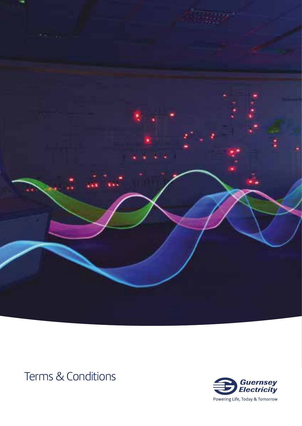

# Terms & Conditions

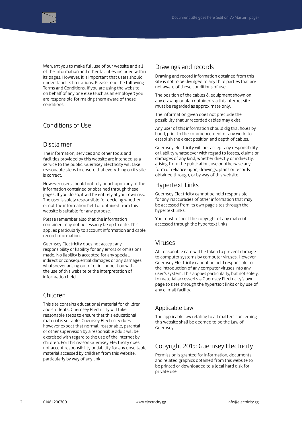

We want you to make full use of our website and all of the information and other facilities included within its pages. However, it is important that users should understand its limitations. Please read the following Terms and Conditions. If you are using the website on behalf of any one else (such as an employer) you are responsible for making them aware of these conditions.

# Conditions of Use

## Disclaimer

The information, services and other tools and facilities provided by this website are intended as a service to the public. Guernsey Electricity will take reasonable steps to ensure that everything on its site is correct.

However users should not rely or act upon any of the information contained or obtained through these pages. If you do so, it will be entirely at your own risk. The user is solely responsible for deciding whether or not the information held or obtained from this website is suitable for any purpose.

Please remember also that the information contained may not necessarily be up to date. This applies particularly to account information and cable record information.

Guernsey Electricity does not accept any responsibility or liability for any errors or omissions made. No liability is accepted for any special, indirect or consequential damages or any damages whatsoever arising out of or in connection with the use of this website or the interpretation of information held.

# Children

This site contains educational material for children and students. Guernsey Electricity will take reasonable steps to ensure that this educational material is suitable. Guernsey Electricity does however expect that normal, reasonable, parental or other supervision by a responsible adult will be exercised with regard to the use of the internet by children. For this reason Guernsey Electricity does not accept responsibility or liability for any unsuitable material accessed by children from this website, particularly by way of any link.

#### Drawings and records

Drawing and record Information obtained from this site is not to be divulged to any third parties that are not aware of these conditions of use.

The position of the cables & equipment shown on any drawing or plan obtained via this internet site must be regarded as approximate only.

The information given does not preclude the possibility that unrecorded cables may exist.

Any user of this information should dig trial holes by hand, prior to the commencement of any work, to establish the exact position and depth of cables.

Guernsey electricity will not accept any responsibility or liability whatsoever with regard to losses, claims or damages of any kind, whether directly or indirectly, arising from the publication, use or otherwise any form of reliance upon, drawings, plans or records obtained through, or by way of this website.

## Hypertext Links

Guernsey Electricity cannot be held responsible for any inaccuracies of other information that may be accessed from its own page sites through the hypertext links.

You must respect the copyright of any material accessed through the hypertext links.

## Viruses

All reasonable care will be taken to prevent damage to computer systems by computer viruses. However Guernsey Electricity cannot be held responsible for the introduction of any computer viruses into any user's system. This applies particularly, but not solely, to material accessed via Guernsey Electricity's own page to sites through the hypertext links or by use of any e-mail facility.

## Applicable Law

The applicable law relating to all matters concerning this website shall be deemed to be the Law of Guernsey.

# Copyright 2015: Guernsey Electricity

Permission is granted for information, documents and related graphics obtained from this website to be printed or downloaded to a local hard disk for private use.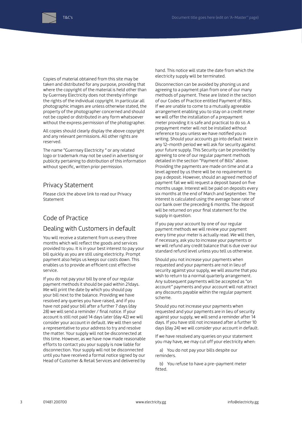

Copies of material obtained from this site may be taken and distributed for any purpose, providing that where the copyright of the material is held other than by Guernsey Electricity does not thereby infringe the rights of the individual copyright. In particular all photographic images are unless otherwise stated, the property of the photographer concerned and should not be copied or distributed in any form whatsoever without the express permission of the photographer.

All copies should clearly display the above copyright and any relevant permissions. All other rights are reserved.

The name "Guernsey Electricity " or any related logo or trademark may not be used in advertising or publicity pertaining to distribution of this information without specific, written prior permission.

## Privacy Statement

T&C's

Please click the above link to read our Privacy Statement

# Code of Practice

## Dealing with Customers in default

You will receive a statement from us every three months which will reflect the goods and services provided to you. It is in your best interest to pay your bill quickly as you are still using electricity. Prompt payment also helps us keeps our costs down. This enables us to provide an efficient cost effective service.

If you do not pay your bill by one of our regular payment methods it should be paid within 21days. We will print the date by which you should pay your bill next to the balance. Providing we have resolved any queries you have raised, and if you have not paid your bill after a further 7 days (day 28) we will send a reminder / final notice. If your account is still not paid 14 days later (day 42) we will consider your account in default. We will then send a representative to your address to try and resolve the matter. Your supply will not be disconnected at this time. However, as we have now made reasonable efforts to contact you your supply is now liable for disconnection. Your supply will not be disconnected until you have received a formal notice signed by our Head of Customer & Retail Services and delivered by hand. This notice will state the date from which the electricity supply will be terminated.

Disconnection can be avoided by phoning us and agreeing to a payment plan from one of our many methods of payment. These are listed in the section of our Codes of Practice entitled Payment of Bills. If we are unable to come to a mutually agreeable arrangement enabling you to stay on a credit meter we will offer the installation of a prepayment meter providing it is safe and practical to do so. A prepayment meter will not be installed without reference to you unless we have notified you in writing. Should your accounts go into default twice in any 12-month period we will ask for security against your future supply. This Security can be provided by agreeing to one of our regular payment methods detailed in the section "Payment of Bills" above. Providing the payments are made on time and at a level agreed by us there will be no requirement to pay a deposit. However, should an agreed method of payment fail we will request a deposit based on five months usage. Interest will be paid on deposits every six months at the end of March and September. The interest is calculated using the average base rate of our bank over the preceding 6 months. The deposit will be returned on your final statement for the supply in question.

If you pay your account by one of our regular payment methods we will review your payment every time your meter is actually read. We will then, if necessary, ask you to increase your payments or we will refund any credit balance that is due over our standard refund level unless you tell us otherwise.

Should you not increase your payments when requested and your payments are not in lieu of security against your supply, we will assume that you wish to return to a normal quarterly arrangement. Any subsequent payments will be accepted as "on account" payments and your account will not attract any discounts payable within the regular payment scheme.

Should you not increase your payments when requested and your payments are in lieu of security against your supply, we will send a reminder after 14 days. If you have still not increased after a further 10 days (day 24) we will consider your account in default.

If we have resolved any queries on your statement you may have, we may cut off your electricity when:

a) You do not pay your bills despite our reminders.

b) You refuse to have a pre-payment meter fitted.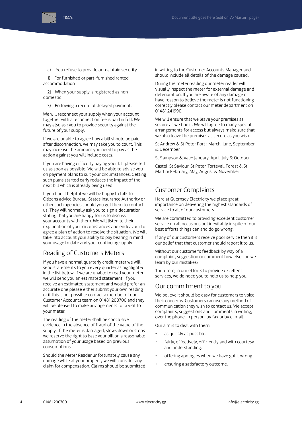

T&C's

c) You refuse to provide or maintain security.

1) For furnished or part-furnished rented accommodation

2) When your supply is registered as nondomestic

3) Following a record of delayed payment.

We will reconnect your supply when your account together with a reconnection fee is paid in full. We may also ask you to provide security against the future of your supply.

If we are unable to agree how a bill should be paid after disconnection, we may take you to court. This may increase the amount you need to pay as the action against you will include costs.

If you are having difficulty paying your bill please tell us as soon as possible. We will be able to advise you on payment plans to suit your circumstances. Getting such plans started early reduces the impact of the next bill which is already being used.

If you find it helpful we will be happy to talk to Citizens advice Bureau, States Insurance Authority or other such agencies should you get them to contact us. They will normally ask you to sign a declaration stating that you are happy for us to discuss your accounts with them. We will listen to their explanation of your circumstances and endeavour to agree a plan of action to resolve the situation. We will take into account your ability to pay bearing in mind your usage to date and your continuing supply.

#### Reading of Customers Meters

If you have a normal quarterly credit meter we will send statements to you every quarter as highlighted in the list below. If we are unable to read your meter we will send you an estimated statement. If you receive an estimated statement and would prefer an accurate one please either submit your own reading or if this is not possible contact a member of our Customer Accounts team on 01481 200700 and they will be pleased to make arrangements for a visit to your meter.

The reading of the meter shall be conclusive evidence in the absence of fraud of the value of the supply. If the meter is damaged, slows down or stops we reserve the right to base your bill on a reasonable assumption of your usage based on previous consumptions.

Should the Meter Reader unfortunately cause any damage while at your property we will consider any claim for compensation. Claims should be submitted in writing to the Customer Accounts Manager and should include all details of the damage caused.

During the meter reading our meter reader will visually inspect the meter for external damage and deterioration. If you are aware of any damage or have reason to believe the meter is not functioning correctly please contact our meter department on 01481 241990.

We will ensure that we leave your premises as secure as we find it. We will agree to many special arrangements for access but always make sure that we also leave the premises as secure as you wish.

St Andrew & St Peter Port : March, June, September & December

St Sampson & Vale: January, April, July & October

Castel, St Saviour, St Peter, Torteval, Forest & St Martin: February, May, August & November

## Customer Complaints

Here at Guernsey Electricity we place great importance on delivering the highest standards of service to all of our customers.

We are committed to providing excellent customer service on all occasions but inevitably in spite of our best efforts things can and do go wrong.

If any of our customers receive poor service then it is our belief that that customer should report it to us.

Without our customer's feedback by way of a complaint, suggestion or comment how else can we learn by our mistakes?

Therefore, in our efforts to provide excellent services, we do need you to help us to help you.

#### Our commitment to you

We believe it should be easy for customers to voice their concerns. Customers can use any method of communication they wish to contact us. We accept complaints, suggestions and comments in writing, over the phone, in person, by fax or by e-mail.

Our aim is to deal with them:

- as quickly as possible.
- fairly, effectively, efficiently and with courtesy and understanding.
- offering apologies when we have got it wrong.
- ensuring a satisfactory outcome.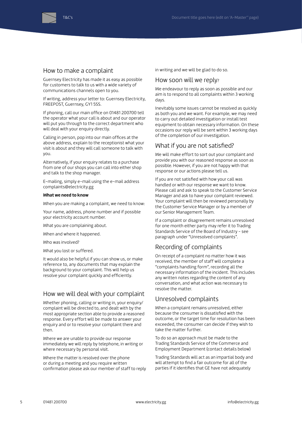



#### How to make a complaint

Guernsey Electricity has made it as easy as possible for customers to talk to us with a wide variety of communications channels open to you.

If writing, address your letter to: Guernsey Electricity, FREEPOST, Guernsey, GY1 5SS.

If phoning, call our main office on 01481 200700 tell the operator what your call is about and our operator will put you through to the correct department who will deal with your enquiry directly.

Calling in person, pop into our main offices at the above address, explain to the receptionist what your visit is about and they will call someone to talk with you.

Alternatively, if your enquiry relates to a purchase from one of our shops you can call into either shop and talk to the shop manager.

E-mailing, simply e-mail using the e-mail address complaints@electricity.gg

#### **What we need to know**

When you are making a complaint, we need to know:

Your name, address, phone number and if possible your electricity account number.

What you are complaining about.

When and where it happened.

Who was involved?

What you lost or suffered.

It would also be helpful if you can show us, or make reference to, any documents that may explain the background to your complaint. This will help us resolve your complaint quickly and efficiently.

#### How we will deal with your complaint

Whether phoning, calling or writing in, your enquiry/ complaint will be directed to, and dealt with by the most appropriate section able to provide a reasoned response. Every effort will be made to answer your enquiry and or to resolve your complaint there and then.

Where we are unable to provide our response immediately we will reply by telephone, in writing or where necessary by personal visit.

Where the matter is resolved over the phone or during a meeting and you require written confirmation please ask our member of staff to reply in writing and we will be glad to do so.

#### How soon will we reply?

We endeavour to reply as soon as possible and our aim is to respond to all complaints within 3 working days.

Inevitably some issues cannot be resolved as quickly as both you and we want. For example, we may need to carry out detailed investigation or install test equipment to obtain necessary information. On these occasions our reply will be sent within 3 working days of the completion of our investigation.

#### What if you are not satisfied?

We will make effort to sort out your complaint and provide you with our reasoned response as soon as possible. However, if you are not happy with that response or our actions please tell us.

If you are not satisfied with how your call was handled or with our response we want to know. Please call and ask to speak to the Customer Service Manager and ask to have your complaint reviewed. Your complaint will then be reviewed personally by the Customer Service Manager or by a member of our Senior Management Team.

If a complaint or disagreement remains unresolved for one month either party may refer it to Trading Standards Service of the Board of Industry - see paragraph under "Unresolved complaints".

#### Recording of complaints

On receipt of a complaint no matter how it was received, the member of staff will complete a "complaints handling form", recording all the necessary information of the incident. This includes any written notes regarding the content of any conversation, and what action was necessary to resolve the matter.

#### Unresolved complaints

When a complaint remains unresolved, either because the consumer is dissatisfied with the outcome, or the target time for resolution has been exceeded, the consumer can decide if they wish to take the matter further.

To do so an approach must be made to the Trading Standards Service of the Commerce and Employment Department (contact details below)

Trading Standards will act as an impartial body and will attempt to find a fair outcome for all of the parties if it identifies that GE have not adequately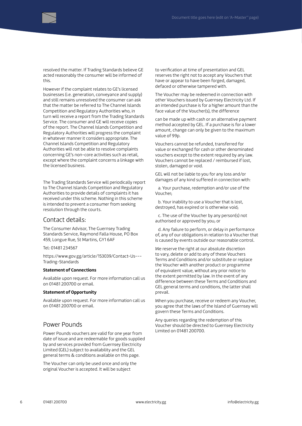

resolved the matter. If Trading Standards believe GE acted reasonably the consumer will be informed of this.

However if the complaint relates to GE's licensed businesses (i.e. generation, conveyance and supply) and still remains unresolved the consumer can ask that the matter be referred to The Channel Islands Competition and Regulatory Authorities who, in turn will receive a report from the Trading Standards Service. The consumer and GE will receive copies of the report. The Channel Islands Competition and Regulatory Authorities will progress the complaint in whatever manner it considers appropriate. The Channel Islands Competition and Regulatory Authorities will not be able to resolve complaints concerning GE's non-core activities such as retail, except where the complaint concerns a linkage with the licensed business.

The Trading Standards Service will periodically report to The Channel Islands Competition and Regulatory Authorities to provide details of complaints it has received under this scheme. Nothing in this scheme is intended to prevent a consumer from seeking resolution through the courts.

#### Contact details:

The Consumer Advisor, The Guernsey Trading Standards Service, Raymond Falla House, PO Box 459, Longue Rue, St Martins, GY1 6AF

Tel: 01481 234567

https://www.gov.gg/article/153039/Contact-Us--- Trading-Standards

#### **Statement of Connections**

Available upon request. For more information call us on 01481 200700 or email.

#### **Statement of Opportunity**

Available upon request. For more information call us on 01481 200700 or email.

## Power Pounds

Power Pounds vouchers are valid for one year from date of issue and are redeemable for goods supplied by and services provided from Guernsey Electricity Limited (GEL) subject to availability and the GEL general terms & conditions available on this page.

The Voucher can only be used once and only the original Voucher is accepted. It will be subject

to verification at time of presentation and GEL reserves the right not to accept any Vouchers that have or appear to have been forged, damaged, defaced or otherwise tampered with.

The Voucher may be redeemed in connection with other Vouchers issued by Guernsey Electricity Ltd. If an intended purchase is for a higher amount than the face value of the Voucher(s), the difference

can be made up with cash or an alternative payment method accepted by GEL. If a purchase is for a lower amount, change can only be given to the maximum value of 99p.

Vouchers cannot be refunded, transferred for value or exchanged for cash or other denominated vouchers except to the extent required by any law. Vouchers cannot be replaced / reimbursed if lost, stolen, damaged or void.

GEL will not be liable to you for any loss and/or damages of any kind suffered in connection with:

a. Your purchase, redemption and/or use of the Voucher;

b. Your inability to use a Voucher that is lost, destroyed, has expired or is otherwise void;

c. The use of the Voucher by any person(s) not authorised or approved by you; or

d. Any failure to perform, or delay in performance of, any of our obligations in relation to a Voucher that is caused by events outside our reasonable control.

We reserve the right at our absolute discretion to vary, delete or add to any of these Vouchers Terms and Conditions and/or substitute or replace the Voucher with another product or programme of equivalent value, without any prior notice to the extent permitted by law. In the event of any difference between these Terms and Conditions and GEL general terms and conditions, the latter shall prevail.

When you purchase, receive or redeem any Voucher, you agree that the laws of the Island of Guernsey will govern these Terms and Conditions.

Any queries regarding the redemption of this Voucher should be directed to Guernsey Electricity Limited on 01481 200700.